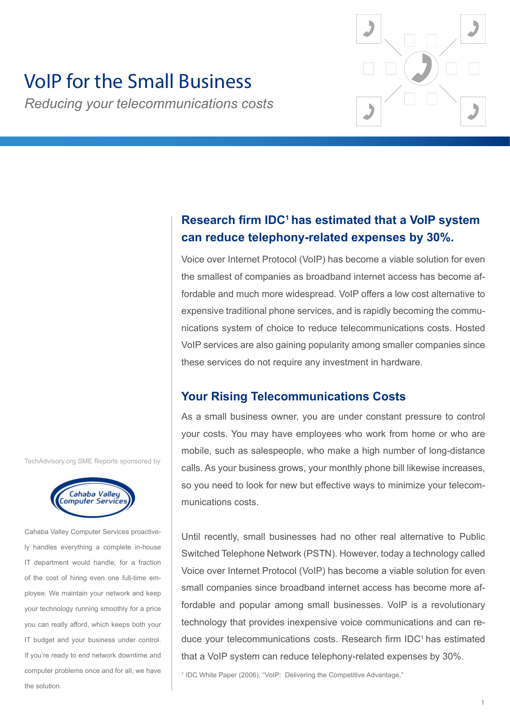

# VoIP for the Small Business

*Reducing your telecommunications costs*

# **Research firm IDC<sup>1</sup>has estimated that a VoIP system can reduce telephony-related expenses by 30%.**

Voice over Internet Protocol (VoIP) has become a viable solution for even the smallest of companies as broadband internet access has become affordable and much more widespread. VoIP offers a low cost alternative to expensive traditional phone services, and is rapidly becoming the communications system of choice to reduce telecommunications costs. Hosted VoIP services are also gaining popularity among smaller companies since these services do not require any investment in hardware.

## **Your Rising Telecommunications Costs**

As a small business owner, you are under constant pressure to control your costs. You may have employees who work from home or who are mobile, such as salespeople, who make a high number of long-distance calls. As your business grows, your monthly phone bill likewise increases, so you need to look for new but effective ways to minimize your telecommunications costs.

Until recently, small businesses had no other real alternative to Public Switched Telephone Network (PSTN). However, today a technology called Voice over Internet Protocol (VoIP) has become a viable solution for even small companies since broadband internet access has become more affordable and popular among small businesses. VoIP is a revolutionary technology that provides inexpensive voice communications and can reduce your telecommunications costs. Research firm IDC<sup>1</sup> has estimated that a VoIP system can reduce telephony-related expenses by 30%.

<sup>1</sup> IDC White Paper (2006), "VoIP: Delivering the Competitive Advantage,"

TechAdvisory.org SME Reports sponsored by



Cahaba Valley Computer Services proactively handles everything a complete in-house IT department would handle, for a fraction of the cost of hiring even one full-time employee. We maintain your network and keep your technology running smoothly for a price you can really afford, which keeps both your IT budget and your business under control. If you're ready to end network downtime and computer problems once and for all, we have the solution.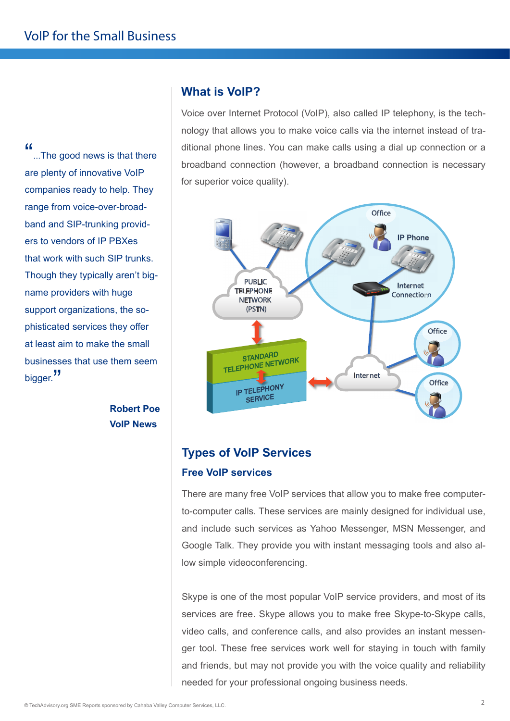"...The good news is that there are plenty of innovative VoIP companies ready to help. They range from voice-over-broadband and SIP-trunking providers to vendors of IP PBXes that work with such SIP trunks. Though they typically aren't bigname providers with huge support organizations, the sophisticated services they offer at least aim to make the small businesses that use them seem bigger.<sup>"</sup>

> **Robert Poe VoIP News**

## **What is VoIP?**

Voice over Internet Protocol (VoIP), also called IP telephony, is the technology that allows you to make voice calls via the internet instead of traditional phone lines. You can make calls using a dial up connection or a broadband connection (however, a broadband connection is necessary for superior voice quality).



# **Types of VoIP Services Free VoIP services**

There are many free VoIP services that allow you to make free computerto-computer calls. These services are mainly designed for individual use, and include such services as Yahoo Messenger, MSN Messenger, and Google Talk. They provide you with instant messaging tools and also allow simple videoconferencing.

Skype is one of the most popular VoIP service providers, and most of its services are free. Skype allows you to make free Skype-to-Skype calls, video calls, and conference calls, and also provides an instant messenger tool. These free services work well for staying in touch with family and friends, but may not provide you with the voice quality and reliability needed for your professional ongoing business needs.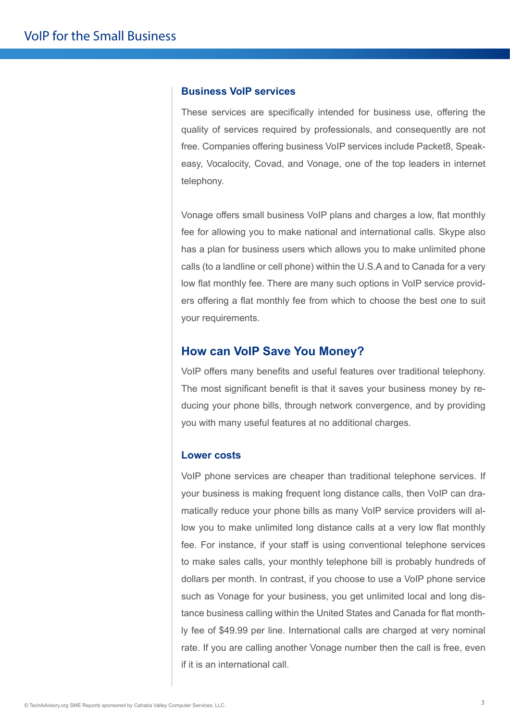#### **Business VoIP services**

These services are specifically intended for business use, offering the quality of services required by professionals, and consequently are not free. Companies offering business VoIP services include Packet8, Speakeasy, Vocalocity, Covad, and Vonage, one of the top leaders in internet telephony.

Vonage offers small business VoIP plans and charges a low, flat monthly fee for allowing you to make national and international calls. Skype also has a plan for business users which allows you to make unlimited phone calls (to a landline or cell phone) within the U.S.A and to Canada for a very low flat monthly fee. There are many such options in VoIP service providers offering a flat monthly fee from which to choose the best one to suit your requirements.

#### **How can VoIP Save You Money?**

VoIP offers many benefits and useful features over traditional telephony. The most significant benefit is that it saves your business money by reducing your phone bills, through network convergence, and by providing you with many useful features at no additional charges.

#### **Lower costs**

VoIP phone services are cheaper than traditional telephone services. If your business is making frequent long distance calls, then VoIP can dramatically reduce your phone bills as many VoIP service providers will allow you to make unlimited long distance calls at a very low flat monthly fee. For instance, if your staff is using conventional telephone services to make sales calls, your monthly telephone bill is probably hundreds of dollars per month. In contrast, if you choose to use a VoIP phone service such as Vonage for your business, you get unlimited local and long distance business calling within the United States and Canada for flat monthly fee of \$49.99 per line. International calls are charged at very nominal rate. If you are calling another Vonage number then the call is free, even if it is an international call.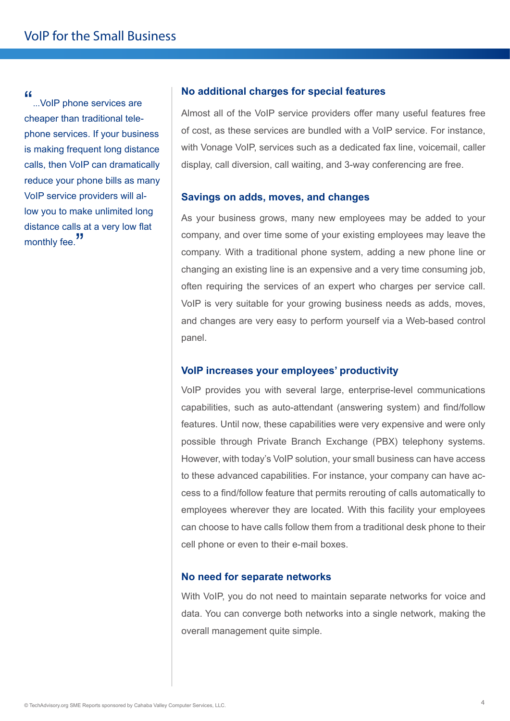"...VoIP phone services are cheaper than traditional telephone services. If your business is making frequent long distance calls, then VoIP can dramatically reduce your phone bills as many VoIP service providers will allow you to make unlimited long distance calls at a very low flat monthly fee.<sup>"</sup>

#### **No additional charges for special features**

Almost all of the VoIP service providers offer many useful features free of cost, as these services are bundled with a VoIP service. For instance, with Vonage VoIP, services such as a dedicated fax line, voicemail, caller display, call diversion, call waiting, and 3-way conferencing are free.

#### **Savings on adds, moves, and changes**

As your business grows, many new employees may be added to your company, and over time some of your existing employees may leave the company. With a traditional phone system, adding a new phone line or changing an existing line is an expensive and a very time consuming job, often requiring the services of an expert who charges per service call. VoIP is very suitable for your growing business needs as adds, moves, and changes are very easy to perform yourself via a Web-based control panel.

#### **VoIP increases your employees' productivity**

VoIP provides you with several large, enterprise-level communications capabilities, such as auto-attendant (answering system) and find/follow features. Until now, these capabilities were very expensive and were only possible through Private Branch Exchange (PBX) telephony systems. However, with today's VoIP solution, your small business can have access to these advanced capabilities. For instance, your company can have access to a find/follow feature that permits rerouting of calls automatically to employees wherever they are located. With this facility your employees can choose to have calls follow them from a traditional desk phone to their cell phone or even to their e-mail boxes.

#### **No need for separate networks**

With VoIP, you do not need to maintain separate networks for voice and data. You can converge both networks into a single network, making the overall management quite simple.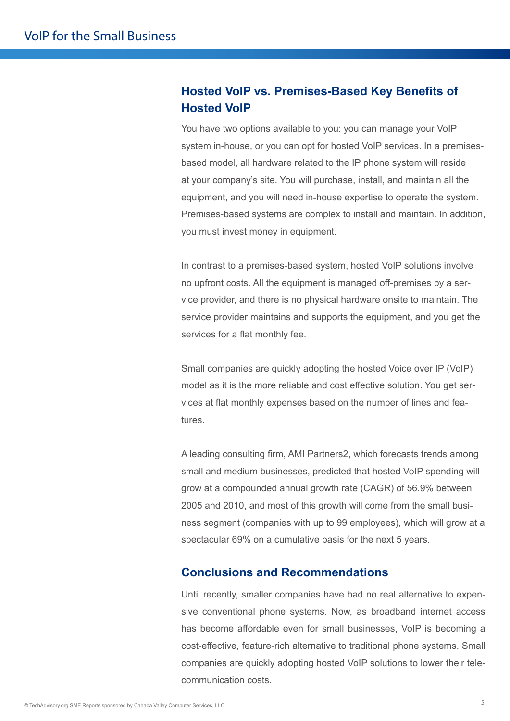# **Hosted VoIP vs. Premises-Based Key Benefits of Hosted VoIP**

You have two options available to you: you can manage your VoIP system in-house, or you can opt for hosted VoIP services. In a premisesbased model, all hardware related to the IP phone system will reside at your company's site. You will purchase, install, and maintain all the equipment, and you will need in-house expertise to operate the system. Premises-based systems are complex to install and maintain. In addition, you must invest money in equipment.

In contrast to a premises-based system, hosted VoIP solutions involve no upfront costs. All the equipment is managed off-premises by a service provider, and there is no physical hardware onsite to maintain. The service provider maintains and supports the equipment, and you get the services for a flat monthly fee.

Small companies are quickly adopting the hosted Voice over IP (VoIP) model as it is the more reliable and cost effective solution. You get services at flat monthly expenses based on the number of lines and features.

A leading consulting firm, AMI Partners2, which forecasts trends among small and medium businesses, predicted that hosted VoIP spending will grow at a compounded annual growth rate (CAGR) of 56.9% between 2005 and 2010, and most of this growth will come from the small business segment (companies with up to 99 employees), which will grow at a spectacular 69% on a cumulative basis for the next 5 years.

## **Conclusions and Recommendations**

Until recently, smaller companies have had no real alternative to expensive conventional phone systems. Now, as broadband internet access has become affordable even for small businesses, VoIP is becoming a cost-effective, feature-rich alternative to traditional phone systems. Small companies are quickly adopting hosted VoIP solutions to lower their telecommunication costs.